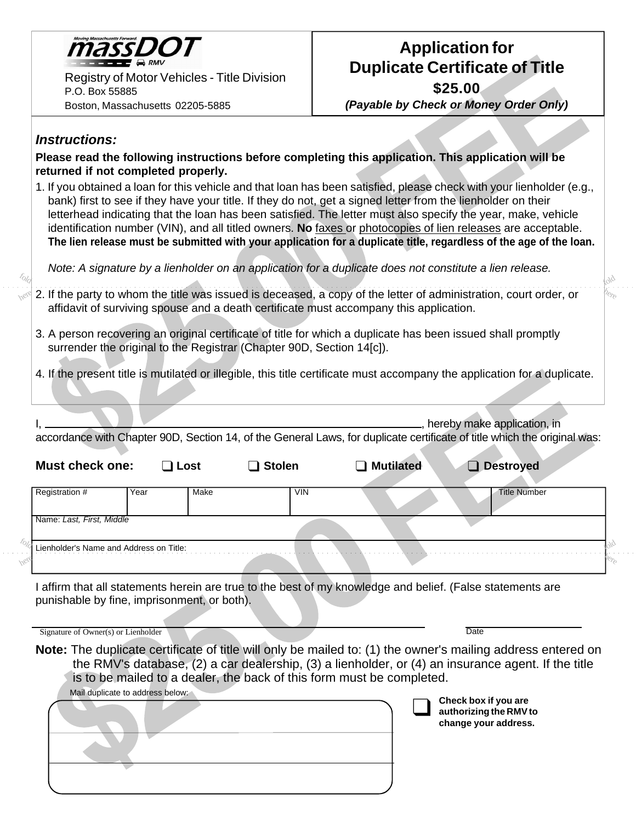

Registry of Motor Vehicles - Title Division P.O. Box 55885 Boston, Massachusetts 02205-5885

## **Application for Duplicate Certificate of Title**

**\$25.00**

*(Payable by Check or Money Order Only)*

 $h_{\text{e}_{\text{Fe}}}$ 

fold

## *Instructions:*

here

fold

**Please read the following instructions before completing this application. This application will be returned if not completed properly.**

1. If you obtained a loan for this vehicle and that loan has been satisfied, please check with your lienholder (e.g., bank) first to see if they have your title. If they do not, get a signed letter from the lienholder on their letterhead indicating that the loan has been satisfied. The letter must also specify the year, make, vehicle identification number (VIN), and all titled owners. **No** faxes or photocopies of lien releases are acceptable. **The lien release must be submitted with your application for a duplicate title, regardless of the age of the loan.**

*Note: A signature by a lienholder on an application for a duplicate does not constitute a lien release.*

- 2. If the party to whom the title was issued is deceased, a copy of the letter of administration, court order, or affidavit of surviving spouse and a death certificate must accompany this application.
- 3. A person recovering an original certificate of title for which a duplicate has been issued shall promptly surrender the original to the Registrar (Chapter 90D, Section 14[c]).

4. If the present title is mutilated or illegible, this title certificate must accompany the application for a duplicate.

|                                             |                                  |      |               |                                                                       | hereby make application, in<br>accordance with Chapter 90D, Section 14, of the General Laws, for duplicate certificate of title which the original was:                                                                                                                                              |  |
|---------------------------------------------|----------------------------------|------|---------------|-----------------------------------------------------------------------|------------------------------------------------------------------------------------------------------------------------------------------------------------------------------------------------------------------------------------------------------------------------------------------------------|--|
| <b>Must check one:</b>                      |                                  | Lost | <b>Stolen</b> | <b>Mutilated</b>                                                      | <b>Destroyed</b>                                                                                                                                                                                                                                                                                     |  |
| Registration #                              | Year                             | Make | <b>VIN</b>    |                                                                       | <b>Title Number</b>                                                                                                                                                                                                                                                                                  |  |
| Name: Last, First, Middle                   |                                  |      |               |                                                                       |                                                                                                                                                                                                                                                                                                      |  |
| Lienholder's Name and Address on Title:     |                                  |      |               |                                                                       |                                                                                                                                                                                                                                                                                                      |  |
| punishable by fine, imprisonment, or both). |                                  |      |               |                                                                       | I affirm that all statements herein are true to the best of my knowledge and belief. (False statements are                                                                                                                                                                                           |  |
| Signature of Owner(s) or Lienholder         | Mail duplicate to address below: |      |               | is to be mailed to a dealer, the back of this form must be completed. | Date<br>Note: The duplicate certificate of title will only be mailed to: (1) the owner's mailing address entered on<br>the RMV's database, (2) a car dealership, (3) a lienholder, or (4) an insurance agent. If the title<br>Check box if you are<br>authorizing the RMV to<br>change your address. |  |